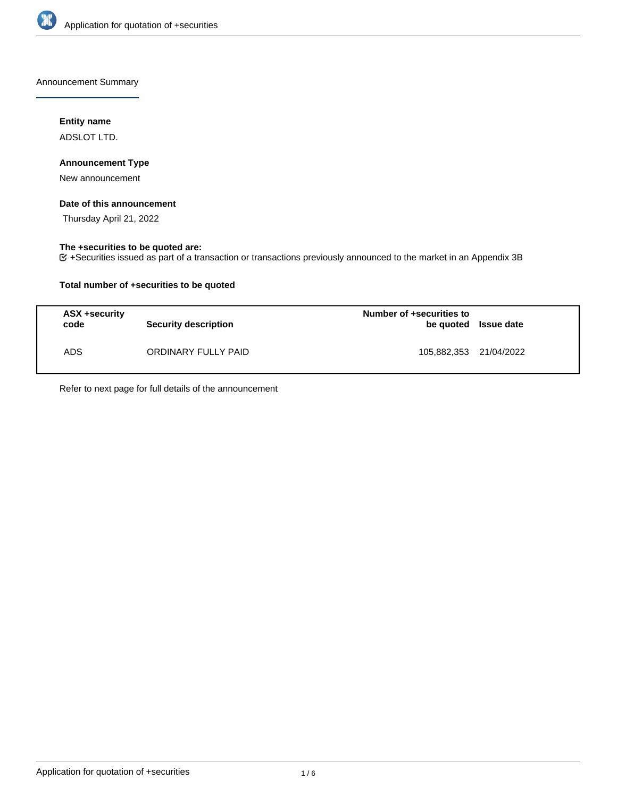

Announcement Summary

## **Entity name**

ADSLOT LTD.

## **Announcement Type**

New announcement

## **Date of this announcement**

Thursday April 21, 2022

### **The +securities to be quoted are:**

+Securities issued as part of a transaction or transactions previously announced to the market in an Appendix 3B

## **Total number of +securities to be quoted**

| ASX +security<br>code | <b>Security description</b> | Number of +securities to<br>be quoted Issue date |  |
|-----------------------|-----------------------------|--------------------------------------------------|--|
| ADS.                  | ORDINARY FULLY PAID         | 105,882,353 21/04/2022                           |  |

Refer to next page for full details of the announcement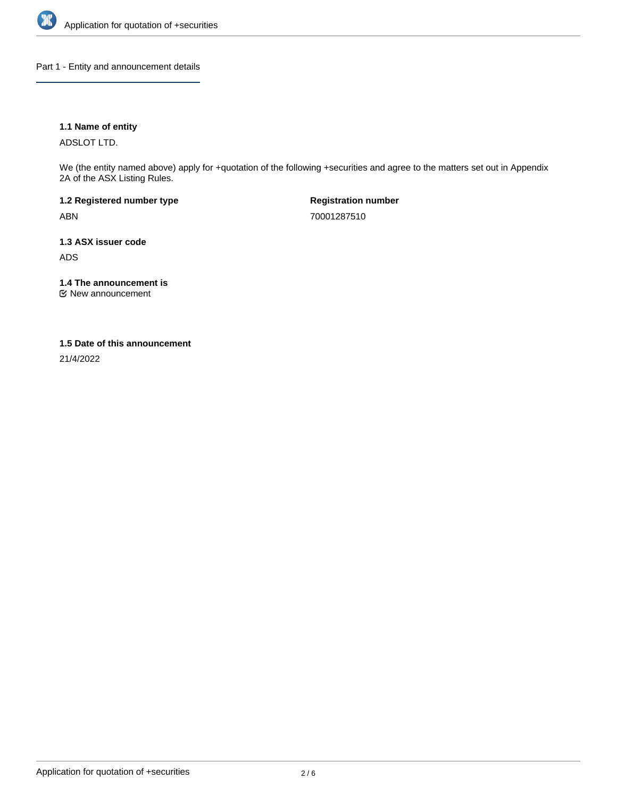

Part 1 - Entity and announcement details

## **1.1 Name of entity**

ADSLOT LTD.

We (the entity named above) apply for +quotation of the following +securities and agree to the matters set out in Appendix 2A of the ASX Listing Rules.

**1.2 Registered number type** ABN

**Registration number** 70001287510

**1.3 ASX issuer code** ADS

**1.4 The announcement is**

New announcement

### **1.5 Date of this announcement**

21/4/2022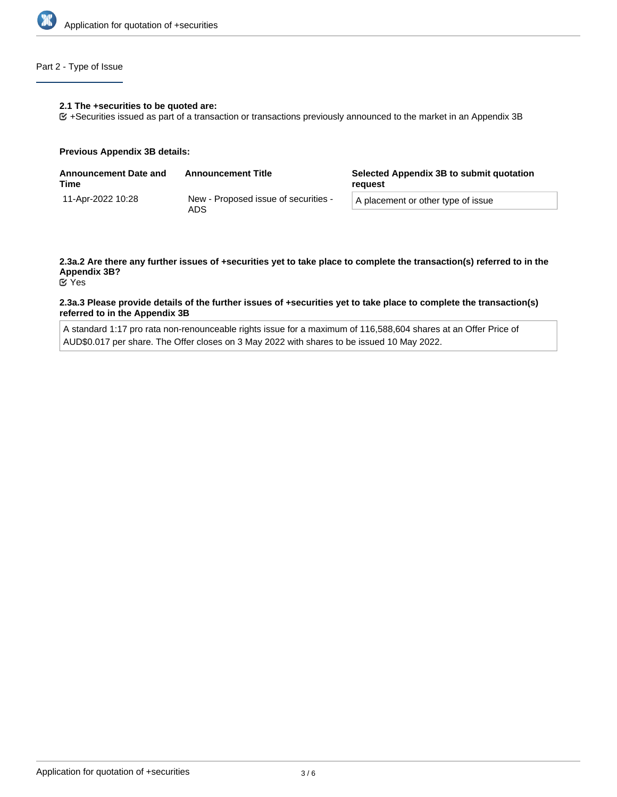

## Part 2 - Type of Issue

### **2.1 The +securities to be quoted are:**

+Securities issued as part of a transaction or transactions previously announced to the market in an Appendix 3B

### **Previous Appendix 3B details:**

| <b>Announcement Date and</b><br>Time | <b>Announcement Title</b>                   | Selected Appendix 3B to submit quotation<br>reauest |
|--------------------------------------|---------------------------------------------|-----------------------------------------------------|
| 11-Apr-2022 10:28                    | New - Proposed issue of securities -<br>ADS | A placement or other type of issue                  |

# **2.3a.2 Are there any further issues of +securities yet to take place to complete the transaction(s) referred to in the Appendix 3B?**

Yes

### **2.3a.3 Please provide details of the further issues of +securities yet to take place to complete the transaction(s) referred to in the Appendix 3B**

A standard 1:17 pro rata non-renounceable rights issue for a maximum of 116,588,604 shares at an Offer Price of AUD\$0.017 per share. The Offer closes on 3 May 2022 with shares to be issued 10 May 2022.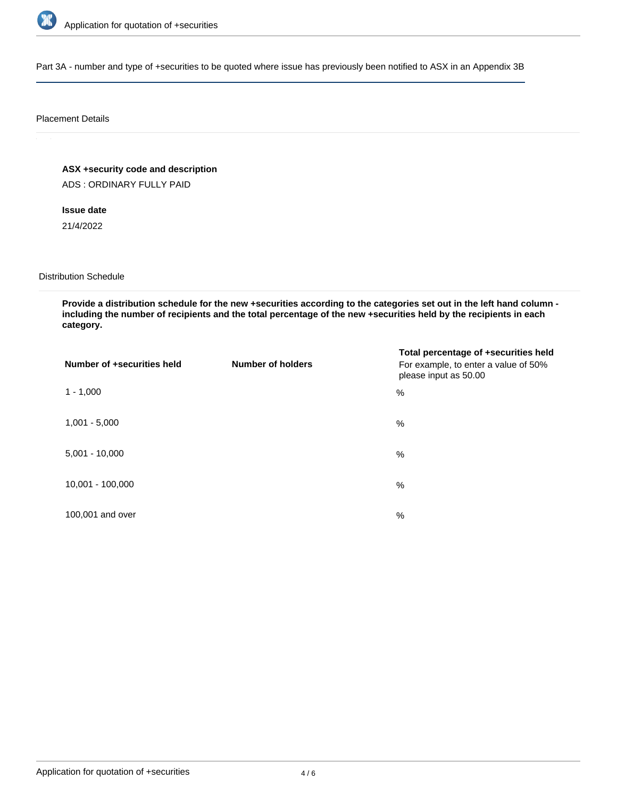

Part 3A - number and type of +securities to be quoted where issue has previously been notified to ASX in an Appendix 3B

### Placement Details

**ASX +security code and description**

ADS : ORDINARY FULLY PAID

**Issue date**

21/4/2022

Distribution Schedule

**Provide a distribution schedule for the new +securities according to the categories set out in the left hand column including the number of recipients and the total percentage of the new +securities held by the recipients in each category.**

| Number of +securities held | <b>Number of holders</b> | Total percentage of +securities held<br>For example, to enter a value of 50%<br>please input as 50.00 |
|----------------------------|--------------------------|-------------------------------------------------------------------------------------------------------|
| $1 - 1,000$                |                          | %                                                                                                     |
| $1,001 - 5,000$            |                          | $\%$                                                                                                  |
| $5,001 - 10,000$           |                          | %                                                                                                     |
| 10,001 - 100,000           |                          | $\frac{0}{0}$                                                                                         |
| 100,001 and over           |                          | $\%$                                                                                                  |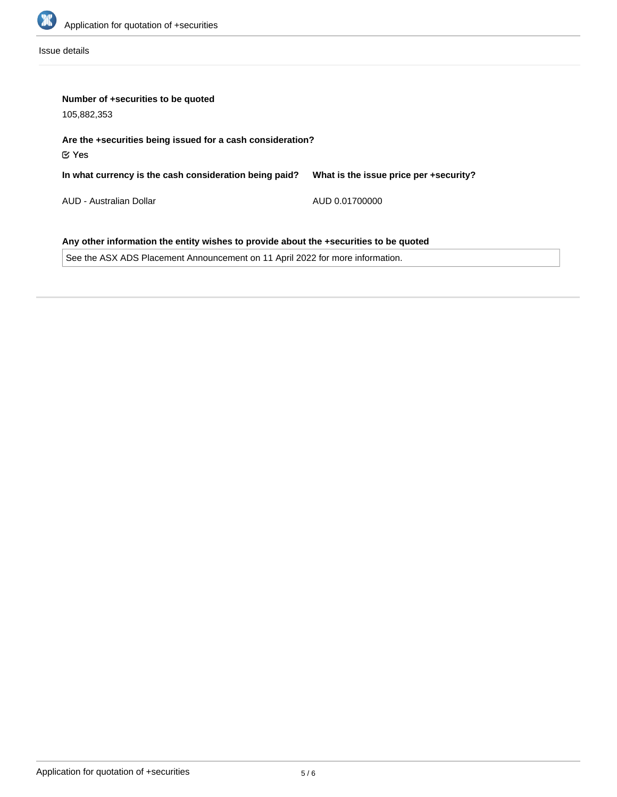

Issue details

| Number of +securities to be quoted<br>105,882,353                                     |                                        |  |  |  |
|---------------------------------------------------------------------------------------|----------------------------------------|--|--|--|
| Are the +securities being issued for a cash consideration?<br>$\mathfrak C$ Yes       |                                        |  |  |  |
| In what currency is the cash consideration being paid?                                | What is the issue price per +security? |  |  |  |
| AUD - Australian Dollar                                                               | AUD 0.01700000                         |  |  |  |
| Any other information the entity wishes to provide about the +securities to be quoted |                                        |  |  |  |

See the ASX ADS Placement Announcement on 11 April 2022 for more information.